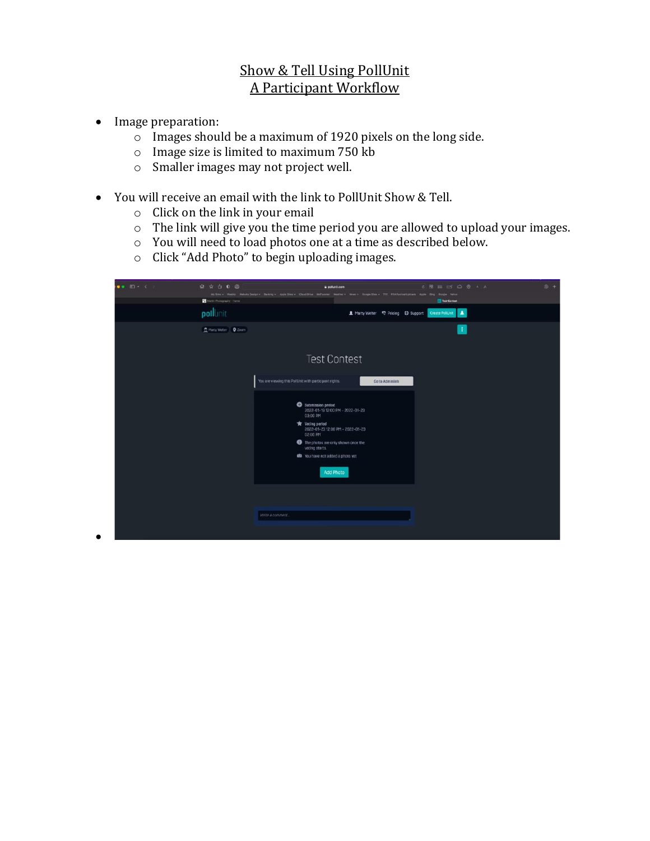## Show & Tell Using PollUnit A Participant Workflow

• Image preparation:

•

- $\circ$  Images should be a maximum of 1920 pixels on the long side.
- o Image size is limited to maximum 750 kb
- o Smaller images may not project well.
- You will receive an email with the link to PollUnit Show & Tell.
	- o Click on the link in your email
	- o The link will give you the time period you are allowed to upload your images.
	- o You will need to load photos one at a time as described below.
	- o Click "Add Photo" to begin uploading images.

| $\bullet$ $\bullet$ $\Box$ $\times$ $\times$ | <b>Q ☆ ① 0 @</b><br>Nortin Photography - Home | 6 8 5 5 6 6 A A<br>a polunit.com<br>My Sitns ~ Weetly Nebuts Design ~ Banking ~ Apple Sites ~ (Coud Drive Wellangter Weather ~ News ~ Doogle Sites ~ TPE PSA Festival Uploads Apple Bing Coogle Yahoo<br>Test Contest                                                                                                                           | $\circledcirc$ + |
|----------------------------------------------|-----------------------------------------------|-------------------------------------------------------------------------------------------------------------------------------------------------------------------------------------------------------------------------------------------------------------------------------------------------------------------------------------------------|------------------|
|                                              | pollunit                                      | A Marty Welter <sup>5</sup> Pricing C Support Create PoliUnit<br>$\blacksquare$                                                                                                                                                                                                                                                                 |                  |
|                                              | Marty Welter Q Zoom                           | $\ddot{\phantom{1}}$<br><b>Test Contest</b>                                                                                                                                                                                                                                                                                                     |                  |
|                                              |                                               | You are viewing this PollUnit with participant rights.<br>Go to Adminish<br>Submission period<br>2022-01-19 12:00 PM - 2022-01-23<br>03:00 PM<br><b>R</b> Voting period<br>2022-01-23 12:00 PM - 2022-01-23<br>02:00 PM<br>The photos are only shown once the<br>voting starts.<br><b>18</b> You have not added a photo yet<br><b>Add Photo</b> |                  |
|                                              |                                               | Write a comment                                                                                                                                                                                                                                                                                                                                 |                  |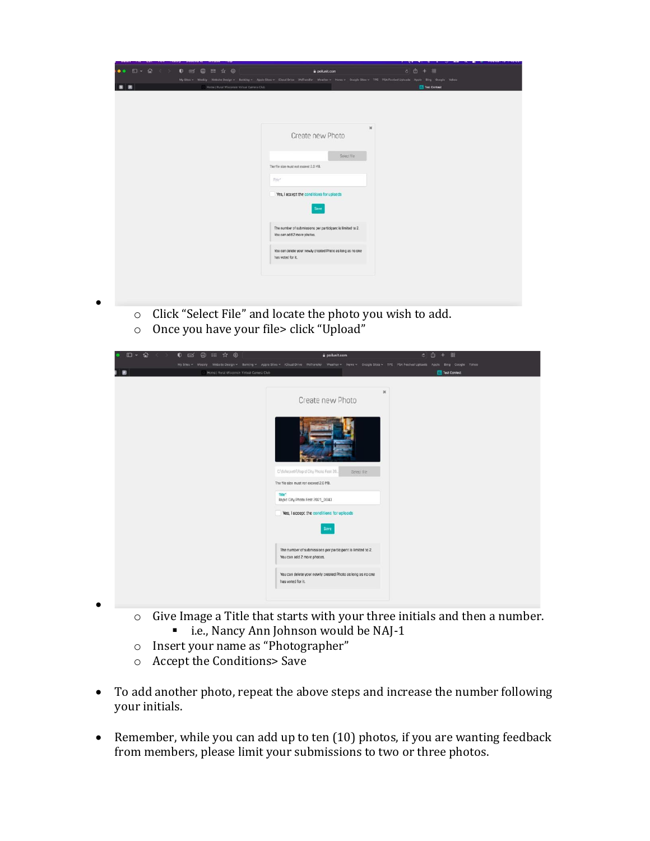| ●● 田 • 台 < > 0 □ □ □ □ □ ☆ ◎               | a pollunit.com                                                                                                                                                | $1 - 1$ , $1 - 2 - 1 - 1$ , $1 - 2 - 1$ , $1 - 2 - 1$ , $1 - 2 - 1 - 1$<br>c 西 + 图 |
|--------------------------------------------|---------------------------------------------------------------------------------------------------------------------------------------------------------------|------------------------------------------------------------------------------------|
|                                            | My Stee - Weeby Webste Design - Bonking - Apolo Stes - Cloud Drive Wellrander Weather - News - Coople Stes - TPE PSA Festival Uploads Apole Bing Google Yahoo |                                                                                    |
| Home   Rural Wisconsin Virtual Camera Club |                                                                                                                                                               | Test Contest                                                                       |
|                                            |                                                                                                                                                               |                                                                                    |
|                                            |                                                                                                                                                               |                                                                                    |
|                                            |                                                                                                                                                               |                                                                                    |
|                                            |                                                                                                                                                               | $\mathbf{x}$                                                                       |
|                                            | Create new Photo                                                                                                                                              |                                                                                    |
|                                            |                                                                                                                                                               |                                                                                    |
|                                            | Seiect file                                                                                                                                                   |                                                                                    |
|                                            | The file size must not exceed 2.0 MB.                                                                                                                         |                                                                                    |
|                                            | $7725e$ <sup>*</sup>                                                                                                                                          |                                                                                    |
|                                            |                                                                                                                                                               |                                                                                    |
|                                            | Yes, I accept the conditions for uploads                                                                                                                      |                                                                                    |
|                                            | Save                                                                                                                                                          |                                                                                    |
|                                            |                                                                                                                                                               |                                                                                    |
|                                            | The number of submissions per participant is limited to 2.                                                                                                    |                                                                                    |
|                                            | You can add 2 more photos.                                                                                                                                    |                                                                                    |
|                                            | You can delete your newly created Photo as long as no one                                                                                                     |                                                                                    |
|                                            | has voted for it.                                                                                                                                             |                                                                                    |
|                                            |                                                                                                                                                               |                                                                                    |
|                                            |                                                                                                                                                               |                                                                                    |
|                                            |                                                                                                                                                               |                                                                                    |
|                                            |                                                                                                                                                               |                                                                                    |

- o Click "Select File" and locate the photo you wish to add.
- o Once you have your file> click "Upload"

•

•

| $\Box$ $\cdot$ $\Box$ $\cdot$<br>0 6 8 8 7 8    | pollunit.com<br>My Sites v Weebly Website Design v Banking v Apple Sites v ICloud Drive Welfansler Weather v News v Google Stes v TPE PSA Festival Uploads Apple Bing Google Yahoo | $c$ $0$ + $38$ |
|-------------------------------------------------|------------------------------------------------------------------------------------------------------------------------------------------------------------------------------------|----------------|
| Home   Rural Wisconsin Virtual Camera Club<br>ø | $\mathbbm{K}$                                                                                                                                                                      | Test Contest   |
|                                                 | Create new Photo                                                                                                                                                                   |                |
|                                                 |                                                                                                                                                                                    |                |
|                                                 | C:\fahepath\Rapid City Photo Fest 20.<br>Select file<br>The file size must not exceed 2.0 MB.                                                                                      |                |
|                                                 | Title*<br>Repid City Photo Fest 2021_0043                                                                                                                                          |                |
|                                                 | Yes, I accept the conditions for uploads<br>Save                                                                                                                                   |                |
|                                                 |                                                                                                                                                                                    |                |
|                                                 | The number of submissions per participant is limited to 2.<br>You can add 2 more photos.                                                                                           |                |
|                                                 | You can delete your newly created Photo as long as no one<br>has voted for it.                                                                                                     |                |
|                                                 |                                                                                                                                                                                    |                |

- o Give Image a Title that starts with your three initials and then a number. ■ i.e., Nancy Ann Johnson would be NAJ-1
- o Insert your name as "Photographer"
- o Accept the Conditions> Save
- To add another photo, repeat the above steps and increase the number following your initials.
- Remember, while you can add up to ten (10) photos, if you are wanting feedback from members, please limit your submissions to two or three photos.